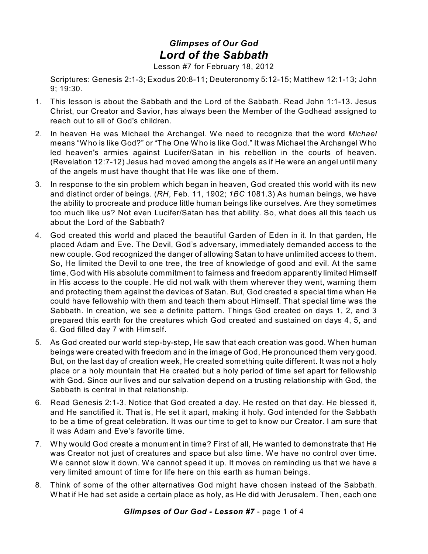## *Glimpses of Our God Lord of the Sabbath*

Lesson #7 for February 18, 2012

Scriptures: Genesis 2:1-3; Exodus 20:8-11; Deuteronomy 5:12-15; Matthew 12:1-13; John 9; 19:30.

- 1. This lesson is about the Sabbath and the Lord of the Sabbath. Read John 1:1-13. Jesus Christ, our Creator and Savior, has always been the Member of the Godhead assigned to reach out to all of God's children.
- 2. In heaven He was Michael the Archangel. We need to recognize that the word *Michael* means "Who is like God?" or "The One Who is like God." It was Michael the Archangel Who led heaven's armies against Lucifer/Satan in his rebellion in the courts of heaven. (Revelation 12:7-12) Jesus had moved among the angels as if He were an angel until many of the angels must have thought that He was like one of them.
- 3. In response to the sin problem which began in heaven, God created this world with its new and distinct order of beings. (*RH*, Feb. 11, 1902; *1BC* 1081.3) As human beings, we have the ability to procreate and produce little human beings like ourselves. Are they sometimes too much like us? Not even Lucifer/Satan has that ability. So, what does all this teach us about the Lord of the Sabbath?
- 4. God created this world and placed the beautiful Garden of Eden in it. In that garden, He placed Adam and Eve. The Devil, God's adversary, immediately demanded access to the new couple. God recognized the danger of allowing Satan to have unlimited access to them. So, He limited the Devil to one tree, the tree of knowledge of good and evil. At the same time, God with His absolute commitment to fairness and freedom apparently limited Himself in His access to the couple. He did not walk with them wherever they went, warning them and protecting them against the devices of Satan. But, God created a special time when He could have fellowship with them and teach them about Himself. That special time was the Sabbath. In creation, we see a definite pattern. Things God created on days 1, 2, and 3 prepared this earth for the creatures which God created and sustained on days 4, 5, and 6. God filled day 7 with Himself.
- 5. As God created our world step-by-step, He saw that each creation was good. When human beings were created with freedom and in the image of God, He pronounced them very good. But, on the last day of creation week, He created something quite different. It was not a holy place or a holy mountain that He created but a holy period of time set apart for fellowship with God. Since our lives and our salvation depend on a trusting relationship with God, the Sabbath is central in that relationship.
- 6. Read Genesis 2:1-3. Notice that God created a day. He rested on that day. He blessed it, and He sanctified it. That is, He set it apart, making it holy. God intended for the Sabbath to be a time of great celebration. It was our time to get to know our Creator. I am sure that it was Adam and Eve's favorite time.
- 7. Why would God create a monument in time? First of all, He wanted to demonstrate that He was Creator not just of creatures and space but also time. We have no control over time. We cannot slow it down. We cannot speed it up. It moves on reminding us that we have a very limited amount of time for life here on this earth as human beings.
- 8. Think of some of the other alternatives God might have chosen instead of the Sabbath. What if He had set aside a certain place as holy, as He did with Jerusalem. Then, each one

*Glimpses of Our God - Lesson #7* - page 1 of 4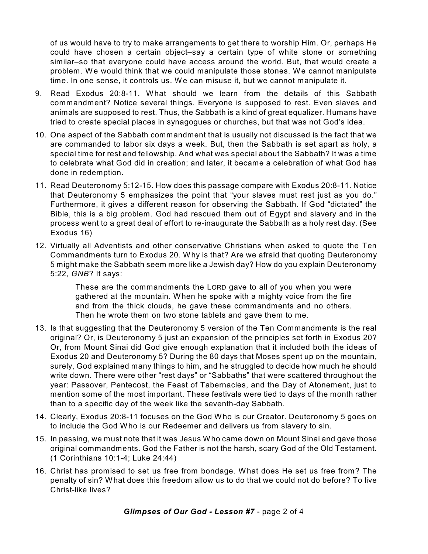of us would have to try to make arrangements to get there to worship Him. Or, perhaps He could have chosen a certain object–say a certain type of white stone or something similar–so that everyone could have access around the world. But, that would create a problem. We would think that we could manipulate those stones. We cannot manipulate time. In one sense, it controls us. We can misuse it, but we cannot manipulate it.

- 9. Read Exodus 20:8-11. What should we learn from the details of this Sabbath commandment? Notice several things. Everyone is supposed to rest. Even slaves and animals are supposed to rest. Thus, the Sabbath is a kind of great equalizer. Humans have tried to create special places in synagogues or churches, but that was not God's idea.
- 10. One aspect of the Sabbath commandment that is usually not discussed is the fact that we are commanded to labor six days a week. But, then the Sabbath is set apart as holy, a special time for rest and fellowship. And what was special about the Sabbath? It was a time to celebrate what God did in creation; and later, it became a celebration of what God has done in redemption.
- 11. Read Deuteronomy 5:12-15. How does this passage compare with Exodus 20:8-11. Notice that Deuteronomy 5 emphasizes the point that "your slaves must rest just as you do." Furthermore, it gives a different reason for observing the Sabbath. If God "dictated" the Bible, this is a big problem. God had rescued them out of Egypt and slavery and in the process went to a great deal of effort to re-inaugurate the Sabbath as a holy rest day. (See Exodus 16)
- 12. Virtually all Adventists and other conservative Christians when asked to quote the Ten Commandments turn to Exodus 20. Why is that? Are we afraid that quoting Deuteronomy 5 might make the Sabbath seem more like a Jewish day? How do you explain Deuteronomy 5:22, *GNB*? It says:

These are the commandments the LORD gave to all of you when you were gathered at the mountain. When he spoke with a mighty voice from the fire and from the thick clouds, he gave these commandments and no others. Then he wrote them on two stone tablets and gave them to me.

- 13. Is that suggesting that the Deuteronomy 5 version of the Ten Commandments is the real original? Or, is Deuteronomy 5 just an expansion of the principles set forth in Exodus 20? Or, from Mount Sinai did God give enough explanation that it included both the ideas of Exodus 20 and Deuteronomy 5? During the 80 days that Moses spent up on the mountain, surely, God explained many things to him, and he struggled to decide how much he should write down. There were other "rest days" or "Sabbaths" that were scattered throughout the year: Passover, Pentecost, the Feast of Tabernacles, and the Day of Atonement, just to mention some of the most important. These festivals were tied to days of the month rather than to a specific day of the week like the seventh-day Sabbath.
- 14. Clearly, Exodus 20:8-11 focuses on the God Who is our Creator. Deuteronomy 5 goes on to include the God Who is our Redeemer and delivers us from slavery to sin.
- 15. In passing, we must note that it was Jesus Who came down on Mount Sinai and gave those original commandments. God the Father is not the harsh, scary God of the Old Testament. (1 Corinthians 10:1-4; Luke 24:44)
- 16. Christ has promised to set us free from bondage. What does He set us free from? The penalty of sin? What does this freedom allow us to do that we could not do before? To live Christ-like lives?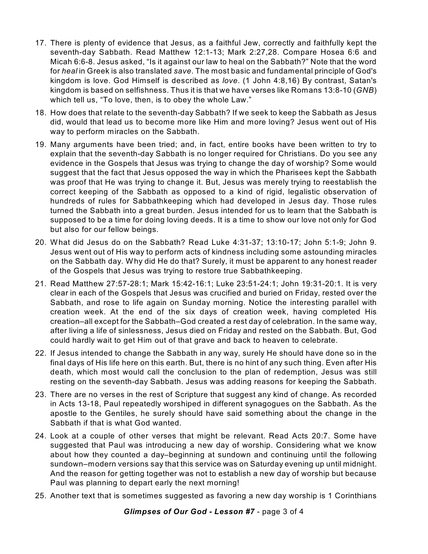- 17. There is plenty of evidence that Jesus, as a faithful Jew, correctly and faithfully kept the seventh-day Sabbath. Read Matthew 12:1-13; Mark 2:27,28. Compare Hosea 6:6 and Micah 6:6-8. Jesus asked, "Is it against our law to heal on the Sabbath?" Note that the word for *heal* in Greek is also translated *save*. The most basic and fundamental principle of God's kingdom is love. God Himself is described as *love*. (1 John 4:8,16) By contrast, Satan's kingdom is based on selfishness. Thus it is that we have verses like Romans 13:8-10 (*GNB*) which tell us, "To love, then, is to obey the whole Law."
- 18. How does that relate to the seventh-day Sabbath? If we seek to keep the Sabbath as Jesus did, would that lead us to become more like Him and more loving? Jesus went out of His way to perform miracles on the Sabbath.
- 19. Many arguments have been tried; and, in fact, entire books have been written to try to explain that the seventh-day Sabbath is no longer required for Christians. Do you see any evidence in the Gospels that Jesus was trying to change the day of worship? Some would suggest that the fact that Jesus opposed the way in which the Pharisees kept the Sabbath was proof that He was trying to change it. But, Jesus was merely trying to reestablish the correct keeping of the Sabbath as opposed to a kind of rigid, legalistic observation of hundreds of rules for Sabbathkeeping which had developed in Jesus day. Those rules turned the Sabbath into a great burden. Jesus intended for us to learn that the Sabbath is supposed to be a time for doing loving deeds. It is a time to show our love not only for God but also for our fellow beings.
- 20. What did Jesus do on the Sabbath? Read Luke 4:31-37; 13:10-17; John 5:1-9; John 9. Jesus went out of His way to perform acts of kindness including some astounding miracles on the Sabbath day. Why did He do that? Surely, it must be apparent to any honest reader of the Gospels that Jesus was trying to restore true Sabbathkeeping.
- 21. Read Matthew 27:57-28:1; Mark 15:42-16:1; Luke 23:51-24:1; John 19:31-20:1. It is very clear in each of the Gospels that Jesus was crucified and buried on Friday, rested over the Sabbath, and rose to life again on Sunday morning. Notice the interesting parallel with creation week. At the end of the six days of creation week, having completed His creation–all except for the Sabbath–God created a rest day of celebration. In the same way, after living a life of sinlessness, Jesus died on Friday and rested on the Sabbath. But, God could hardly wait to get Him out of that grave and back to heaven to celebrate.
- 22. If Jesus intended to change the Sabbath in any way, surely He should have done so in the final days of His life here on this earth. But, there is no hint of any such thing. Even after His death, which most would call the conclusion to the plan of redemption, Jesus was still resting on the seventh-day Sabbath. Jesus was adding reasons for keeping the Sabbath.
- 23. There are no verses in the rest of Scripture that suggest any kind of change. As recorded in Acts 13-18, Paul repeatedly worshiped in different synagogues on the Sabbath. As the apostle to the Gentiles, he surely should have said something about the change in the Sabbath if that is what God wanted.
- 24. Look at a couple of other verses that might be relevant. Read Acts 20:7. Some have suggested that Paul was introducing a new day of worship. Considering what we know about how they counted a day–beginning at sundown and continuing until the following sundown–modern versions say that this service was on Saturday evening up until midnight. And the reason for getting together was not to establish a new day of worship but because Paul was planning to depart early the next morning!
- 25. Another text that is sometimes suggested as favoring a new day worship is 1 Corinthians

*Glimpses of Our God - Lesson #7* - page 3 of 4